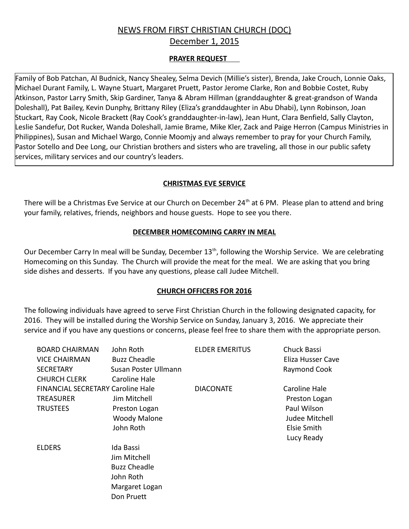# NEWS FROM FIRST CHRISTIAN CHURCH (DOC)

December 1, 2015

# **PRAYER REQUEST**

Family of Bob Patchan, Al Budnick, Nancy Shealey, Selma Devich (Millie's sister), Brenda, Jake Crouch, Lonnie Oaks, Michael Durant Family, L. Wayne Stuart, Margaret Pruett, Pastor Jerome Clarke, Ron and Bobbie Costet, Ruby Atkinson, Pastor Larry Smith, Skip Gardiner, Tanya & Abram Hillman (granddaughter & great-grandson of Wanda Doleshall), Pat Bailey, Kevin Dunphy, Brittany Riley (Eliza's granddaughter in Abu Dhabi), Lynn Robinson, Joan Stuckart, Ray Cook, Nicole Brackett (Ray Cook's granddaughter-in-law), Jean Hunt, Clara Benfield, Sally Clayton, Leslie Sandefur, Dot Rucker, Wanda Doleshall, Jamie Brame, Mike Kler, Zack and Paige Herron (Campus Ministries in Philippines), Susan and Michael Wargo, Connie Moomjy and always remember to pray for your Church Family, Pastor Sotello and Dee Long, our Christian brothers and sisters who are traveling, all those in our public safety services, military services and our country's leaders.

## **CHRISTMAS EVE SERVICE**

There will be a Christmas Eve Service at our Church on December 24<sup>th</sup> at 6 PM. Please plan to attend and bring your family, relatives, friends, neighbors and house guests. Hope to see you there.

#### **DECEMBER HOMECOMING CARRY IN MEAL**

Our December Carry In meal will be Sunday, December 13<sup>th</sup>, following the Worship Service. We are celebrating Homecoming on this Sunday. The Church will provide the meat for the meal. We are asking that you bring side dishes and desserts. If you have any questions, please call Judee Mitchell.

## **CHURCH OFFICERS FOR 2016**

The following individuals have agreed to serve First Christian Church in the following designated capacity, for 2016. They will be installed during the Worship Service on Sunday, January 3, 2016. We appreciate their service and if you have any questions or concerns, please feel free to share them with the appropriate person.

| <b>BOARD CHAIRMAN</b>                    | John Roth            | <b>ELDER EMERITUS</b> | Chuck Bassi           |
|------------------------------------------|----------------------|-----------------------|-----------------------|
| <b>VICE CHAIRMAN</b>                     | <b>Buzz Cheadle</b>  |                       | Eliza Husser Cave     |
| <b>SECRETARY</b>                         | Susan Poster Ullmann |                       | Raymond Cook          |
| <b>CHURCH CLERK</b>                      | Caroline Hale        |                       |                       |
| <b>FINANCIAL SECRETARY Caroline Hale</b> |                      | <b>DIACONATE</b>      | Caroline Hale         |
| <b>TREASURER</b>                         | Jim Mitchell         |                       | Preston Logan         |
| <b>TRUSTEES</b>                          | Preston Logan        |                       | Paul Wilson           |
|                                          | <b>Woody Malone</b>  |                       | <b>Judee Mitchell</b> |
|                                          | John Roth            |                       | <b>Elsie Smith</b>    |
|                                          |                      |                       | Lucy Ready            |
| <b>ELDERS</b>                            | Ida Bassi            |                       |                       |
|                                          | Jim Mitchell         |                       |                       |
|                                          | <b>Buzz Cheadle</b>  |                       |                       |
|                                          | John Roth            |                       |                       |
|                                          | Margaret Logan       |                       |                       |
|                                          | Don Pruett           |                       |                       |